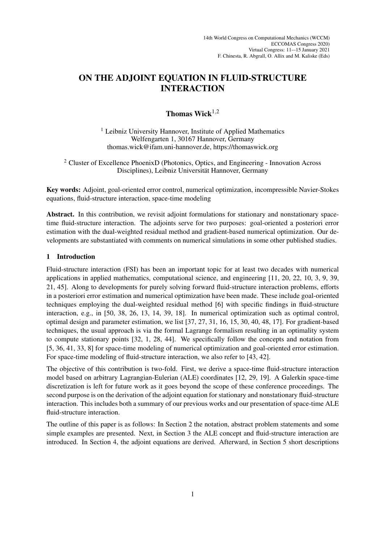# ON THE ADJOINT EQUATION IN FLUID-STRUCTURE INTERACTION

# Thomas Wick $1,2$

<sup>1</sup> Leibniz University Hannover, Institute of Applied Mathematics Welfengarten 1, 30167 Hannover, Germany thomas.wick@ifam.uni-hannover.de, https://thomaswick.org

<sup>2</sup> Cluster of Excellence PhoenixD (Photonics, Optics, and Engineering - Innovation Across Disciplines), Leibniz Universität Hannover, Germany

Key words: Adjoint, goal-oriented error control, numerical optimization, incompressible Navier-Stokes equations, fluid-structure interaction, space-time modeling

Abstract. In this contribution, we revisit adjoint formulations for stationary and nonstationary spacetime fluid-structure interaction. The adjoints serve for two purposes: goal-oriented a posteriori error estimation with the dual-weighted residual method and gradient-based numerical optimization. Our developments are substantiated with comments on numerical simulations in some other published studies.

## 1 Introduction

Fluid-structure interaction (FSI) has been an important topic for at least two decades with numerical applications in applied mathematics, computational science, and engineering [11, 20, 22, 10, 3, 9, 39, 21, 45]. Along to developments for purely solving forward fluid-structure interaction problems, efforts in a posteriori error estimation and numerical optimization have been made. These include goal-oriented techniques employing the dual-weighted residual method [6] with specific findings in fluid-structure interaction, e.g., in [50, 38, 26, 13, 14, 39, 18]. In numerical optimization such as optimal control, optimal design and parameter estimation, we list [37, 27, 31, 16, 15, 30, 40, 48, 17]. For gradient-based techniques, the usual approach is via the formal Lagrange formalism resulting in an optimality system to compute stationary points [32, 1, 28, 44]. We specifically follow the concepts and notation from [5, 36, 41, 33, 8] for space-time modeling of numerical optimization and goal-oriented error estimation. For space-time modeling of fluid-structure interaction, we also refer to [43, 42].

The objective of this contribution is two-fold. First, we derive a space-time fluid-structure interaction model based on arbitrary Lagrangian-Eulerian (ALE) coordinates [12, 29, 19]. A Galerkin space-time discretization is left for future work as it goes beyond the scope of these conference proceedings. The second purpose is on the derivation of the adjoint equation for stationary and nonstationary fluid-structure interaction. This includes both a summary of our previous works and our presentation of space-time ALE fluid-structure interaction.

The outline of this paper is as follows: In Section 2 the notation, abstract problem statements and some simple examples are presented. Next, in Section 3 the ALE concept and fluid-structure interaction are introduced. In Section 4, the adjoint equations are derived. Afterward, in Section 5 short descriptions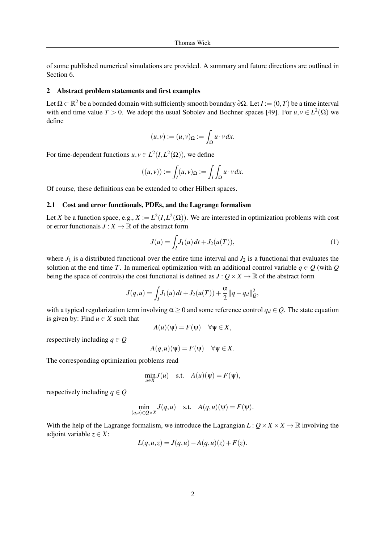of some published numerical simulations are provided. A summary and future directions are outlined in Section 6.

### 2 Abstract problem statements and first examples

Let  $\Omega \subset \mathbb{R}^2$  be a bounded domain with sufficiently smooth boundary ∂ $\Omega$ . Let  $I := (0,T)$  be a time interval with end time value  $T > 0$ . We adopt the usual Sobolev and Bochner spaces [49]. For  $u, v \in L^2(\Omega)$  we define

$$
(u,v):=(u,v)_{\Omega}:=\int_{\Omega}u\cdot v\,dx.
$$

For time-dependent functions  $u, v \in L^2(I, L^2(\Omega))$ , we define

$$
((u,v)) := \int_I (u,v)_{\Omega} := \int_I \int_{\Omega} u \cdot v \, dx.
$$

Of course, these definitions can be extended to other Hilbert spaces.

### 2.1 Cost and error functionals, PDEs, and the Lagrange formalism

Let *X* be a function space, e.g.,  $X := L^2(I, L^2(\Omega))$ . We are interested in optimization problems with cost or error functionals  $J: X \to \mathbb{R}$  of the abstract form

$$
J(u) = \int_{I} J_1(u) dt + J_2(u(T)),
$$
\n(1)

where  $J_1$  is a distributed functional over the entire time interval and  $J_2$  is a functional that evaluates the solution at the end time *T*. In numerical optimization with an additional control variable  $q \in Q$  (with  $Q$ being the space of controls) the cost functional is defined as  $J: Q \times X \to \mathbb{R}$  of the abstract form

$$
J(q, u) = \int_I J_1(u) dt + J_2(u(T)) + \frac{\alpha}{2} ||q - q_d||_Q^2,
$$

with a typical regularization term involving  $\alpha \geq 0$  and some reference control  $q_d \in Q$ . The state equation is given by: Find  $u \in X$  such that

$$
A(u)(\Psi) = F(\Psi) \quad \forall \Psi \in X,
$$

respectively including  $q \in Q$ 

$$
A(q, u)(\Psi) = F(\Psi) \quad \forall \Psi \in X.
$$

The corresponding optimization problems read

$$
\min_{u \in X} J(u) \quad \text{s.t.} \quad A(u)(\psi) = F(\psi),
$$

respectively including  $q \in Q$ 

$$
\min_{(q,u)\in Q\times X} J(q,u) \quad \text{s.t.} \quad A(q,u)(\Psi) = F(\Psi).
$$

With the help of the Lagrange formalism, we introduce the Lagrangian  $L: Q \times X \times X \to \mathbb{R}$  involving the adjoint variable  $z \in X$ :

$$
L(q, u, z) = J(q, u) - A(q, u)(z) + F(z).
$$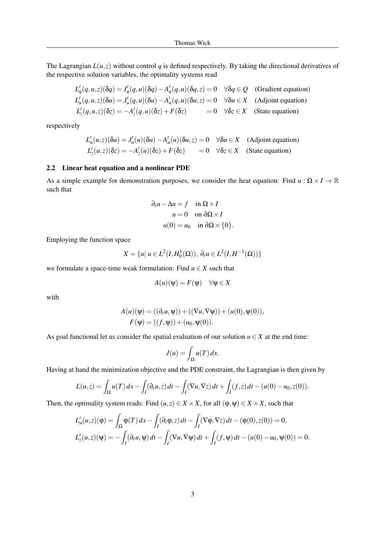The Lagrangian  $L(u, z)$  without control  $q$  is defined respectively. By taking the directional derivatives of the respective solution variables, the optimality systems read

$$
L'_q(q, u, z)(\delta q) = J'_q(q, u)(\delta q) - A'_q(q, u)(\delta q, z) = 0 \quad \forall \delta q \in Q \quad \text{(Gradient equation)}
$$
\n
$$
L'_u(q, u, z)(\delta u) = J'_u(q, u)(\delta u) - A'_u(q, u)(\delta u, z) = 0 \quad \forall \delta u \in X \quad \text{(Adjoint equation)}
$$
\n
$$
L'_z(q, u, z)(\delta z) = -A'_z(q, u)(\delta z) + F(\delta z) = 0 \quad \forall \delta z \in X \quad \text{(State equation)}
$$

respectively

$$
L'_u(u, z)(\delta u) = J'_u(u)(\delta u) - A'_u(u)(\delta u, z) = 0 \quad \forall \delta u \in X \quad \text{(Adjoint equation)}
$$
  

$$
L'_z(u, z)(\delta z) = -A'_z(u)(\delta z) + F(\delta z) = 0 \quad \forall \delta z \in X \quad \text{(State equation)}
$$

#### 2.2 Linear heat equation and a nonlinear PDE

As a simple example for demonstration purposes, we consider the heat equation: Find  $u : \Omega \times I \to \mathbb{R}$ such that

$$
\partial_t u - \Delta u = f \quad \text{in } \Omega \times I
$$
  

$$
u = 0 \quad \text{on } \partial \Omega \times I
$$
  

$$
u(0) = u_0 \quad \text{in } \partial \Omega \times \{0\}.
$$

Employing the function space

$$
X = \{u | u \in L^2(I, H_0^1(\Omega)), \, \partial_t u \in L^2(I, H^{-1}(\Omega))\}
$$

we formulate a space-time weak formulation: Find  $u \in X$  such that

$$
A(u)(\Psi) = F(\Psi) \quad \forall \Psi \in X
$$

with

$$
A(u)(\Psi) = ((\partial_t u, \Psi)) + ((\nabla u, \nabla \Psi)) + (u(0), \Psi(0)),
$$
  

$$
F(\Psi) = ((f, \Psi)) + (u_0, \Psi(0)).
$$

As goal functional let us consider the spatial evaluation of our solution  $u \in X$  at the end time:

$$
J(u) = \int_{\Omega} u(T) \, dx.
$$

Having at hand the minimization objective and the PDE constraint, the Lagrangian is then given by

$$
L(u,z) = \int_{\Omega} u(T) dx - \int_{I} (\partial_{t} u, z) dt - \int_{I} (\nabla u, \nabla z) dt + \int_{I} (f, z) dt - (u(0) - u_{0}, z(0)).
$$

Then, the optimality system reads: Find  $(u, z) \in X \times X$ , for all  $(\varphi, \psi) \in X \times X$ , such that

$$
L'_{u}(u, z)(\varphi) = \int_{\Omega} \varphi(T) dx - \int_{I} (\partial_{t} \varphi, z) dt - \int_{I} (\nabla \varphi, \nabla z) dt - (\varphi(0), z(0)) = 0,
$$
  

$$
L'_{z}(u, z)(\psi) = -\int_{I} (\partial_{t} u, \psi) dt - \int_{I} (\nabla u, \nabla \psi) dt + \int_{I} (f, \psi) dt - (u(0) - u_{0}, \psi(0)) = 0.
$$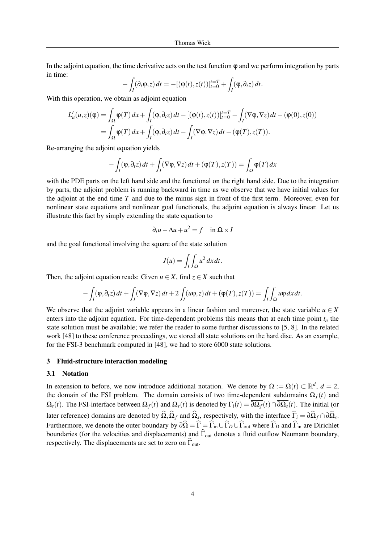In the adjoint equation, the time derivative acts on the test function  $\varphi$  and we perform integration by parts in time:

$$
-\int_I(\partial_t\varphi,z)\,dt=-[(\varphi(t),z(t))]_{t=0}^{t=T}+\int_I(\varphi,\partial_t z)\,dt.
$$

With this operation, we obtain as adjoint equation

$$
L'_{u}(u,z)(\varphi) = \int_{\Omega} \varphi(T) dx + \int_{I} (\varphi, \partial_{t}z) dt - [(\varphi(t), z(t))]_{t=0}^{t=T} - \int_{I} (\nabla \varphi, \nabla z) dt - (\varphi(0), z(0))
$$
  
= 
$$
\int_{\Omega} \varphi(T) dx + \int_{I} (\varphi, \partial_{t}z) dt - \int_{I} (\nabla \varphi, \nabla z) dt - (\varphi(T), z(T)).
$$

Re-arranging the adjoint equation yields

$$
- \int_I (\varphi, \partial_t z) dt + \int_I (\nabla \varphi, \nabla z) dt + (\varphi(T), z(T)) = \int_{\Omega} \varphi(T) dx
$$

with the PDE parts on the left hand side and the functional on the right hand side. Due to the integration by parts, the adjoint problem is running backward in time as we observe that we have initial values for the adjoint at the end time *T* and due to the minus sign in front of the first term. Moreover, even for nonlinear state equations and nonlinear goal functionals, the adjoint equation is always linear. Let us illustrate this fact by simply extending the state equation to

$$
\partial_t u - \Delta u + u^2 = f \quad \text{in } \Omega \times I
$$

and the goal functional involving the square of the state solution

$$
J(u) = \int_I \int_{\Omega} u^2 dx dt.
$$

Then, the adjoint equation reads: Given  $u \in X$ , find  $z \in X$  such that

$$
-\int_I(\varphi,\partial_t z)\,dt+\int_I(\nabla\varphi,\nabla z)\,dt+2\int_I(u\varphi,z)\,dt+(\varphi(T),z(T))=\int_I\int_\Omega u\varphi\,dx\,dt.
$$

We observe that the adjoint variable appears in a linear fashion and moreover, the state variable  $u \in X$ enters into the adjoint equation. For time-dependent problems this means that at each time point  $t<sub>n</sub>$  the state solution must be available; we refer the reader to some further discussions to [5, 8]. In the related work [48] to these conference proceedings, we stored all state solutions on the hard disc. As an example, for the FSI-3 benchmark computed in [48], we had to store 6000 state solutions.

#### 3 Fluid-structure interaction modeling

#### 3.1 Notation

In extension to before, we now introduce additional notation. We denote by  $\Omega := \Omega(t) \subset \mathbb{R}^d$ ,  $d = 2$ , the domain of the FSI problem. The domain consists of two time-dependent subdomains  $\Omega_f(t)$  and  $\Omega_s(t)$ . The FSI-interface between  $\Omega_f(t)$  and  $\Omega_s(t)$  is denoted by  $\Gamma_i(t) = \overline{\partial \Omega_f}(t) \cap \overline{\partial \Omega_s}(t)$ . The initial (or later reference) domains are denoted by  $\Omega$ ,  $\Omega_f$  and  $\Omega_s$ , respectively, with the interface  $\overline{\Gamma}_i = \partial \Omega_f \cap \partial \Omega_s$ . Furthermore, we denote the outer boundary by  $\partial \hat{\Omega} = \hat{\Gamma} = \hat{\Gamma}_{in} \cup \hat{\Gamma}_{D} \cup \hat{\Gamma}_{out}$  where  $\hat{\Gamma}_{D}$  and  $\hat{\Gamma}_{in}$  are Dirichlet boundaries (for the velocities and displacements) and  $\hat{\Gamma}_{out}$  denotes a fluid outflow Neumann boundary, respectively. The displacements are set to zero on  $\widehat{\Gamma}_{out}$ .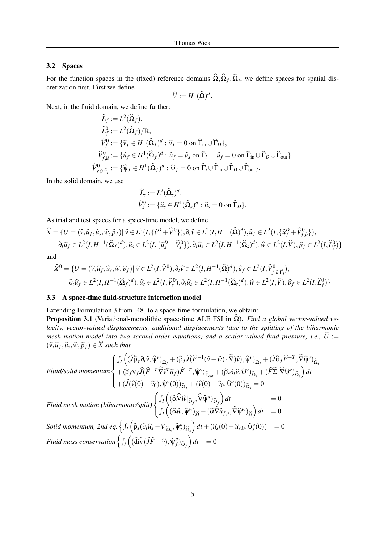### 3.2 Spaces

For the function spaces in the (fixed) reference domains  $\Omega, \Omega_f, \Omega_s$ , we define spaces for spatial discretization first. First we define

$$
\widehat{V} := H^1(\widehat{\Omega})^d.
$$

Next, in the fluid domain, we define further:

$$
\begin{aligned}\n\widehat{L}_f &:= L^2(\widehat{\Omega}_f), \\
\widehat{L}_f^0 &:= L^2(\widehat{\Omega}_f)/\mathbb{R}, \\
\widehat{V}_f^0 &:= \{\widehat{v}_f \in H^1(\widehat{\Omega}_f)^d : \widehat{v}_f = 0 \text{ on } \widehat{\Gamma}_{\text{in}} \cup \widehat{\Gamma}_D\}, \\
\widehat{V}_{f,\widehat{u}}^0 &:= \{\widehat{u}_f \in H^1(\widehat{\Omega}_f)^d : \widehat{u}_f = \widehat{u}_s \text{ on } \widehat{\Gamma}_i, \quad \widehat{u}_f = 0 \text{ on } \widehat{\Gamma}_{\text{in}} \cup \widehat{\Gamma}_D \cup \widehat{\Gamma}_{\text{out}}\}, \\
\widehat{V}_{f,\widehat{u},\widehat{\Gamma}_i}^0 &:= \{\widehat{\Psi}_f \in H^1(\widehat{\Omega}_f)^d : \widehat{\Psi}_f = 0 \text{ on } \widehat{\Gamma}_i \cup \widehat{\Gamma}_{\text{in}} \cup \widehat{\Gamma}_{\text{out}}\}.\n\end{aligned}
$$

In the solid domain, we use

$$
\widehat{L}_s := L^2 (\widehat{\Omega}_s)^d,
$$
  

$$
\widehat{V}_s^0 := {\widehat{u}_s \in H^1 (\widehat{\Omega}_s)^d : \widehat{u}_s = 0 \text{ on } \widehat{\Gamma}_D}.
$$

As trial and test spaces for a space-time model, we define

$$
\widehat{X} = \{ U = (\widehat{v}, \widehat{u}_f, \widehat{u}_s, \widehat{w}, \widehat{p}_f) | \widehat{v} \in L^2(I, \{\widehat{v}^D + \widehat{V}^0\}), \partial_t \widehat{v} \in L^2(I, H^{-1}(\widehat{\Omega})^d), \widehat{u}_f \in L^2(I, \{\widehat{u}_f^D + \widehat{V}_{f, \widehat{u}}^0\}),
$$
  

$$
\partial_t \widehat{u}_f \in L^2(I, H^{-1}(\widehat{\Omega}_f)^d), \widehat{u}_s \in L^2(I, \{\widehat{u}_s^D + \widehat{V}_s^0\}), \partial_t \widehat{u}_s \in L^2(I, H^{-1}(\widehat{\Omega}_s)^d), \widehat{w} \in L^2(I, \widehat{V}), \widehat{p}_f \in L^2(I, \widehat{L}_f^0) \}
$$

and

$$
\widehat{X}^0 = \{ U = (\widehat{v}, \widehat{u}_f, \widehat{u}_s, \widehat{w}, \widehat{p}_f) | \widehat{v} \in L^2(I, \widehat{V}^0), \partial_t \widehat{v} \in L^2(I, H^{-1}(\widehat{\Omega})^d), \widehat{u}_f \in L^2(I, \widehat{V}^0_{f, \widehat{u}, \widehat{\Gamma}_i}),
$$
  

$$
\partial_t \widehat{u}_f \in L^2(I, H^{-1}(\widehat{\Omega}_f)^d), \widehat{u}_s \in L^2(I, \widehat{V}^0_s), \partial_t \widehat{u}_s \in L^2(I, H^{-1}(\widehat{\Omega}_s)^d), \widehat{w} \in L^2(I, \widehat{V}), \widehat{p}_f \in L^2(I, \widehat{L}^0_f)\}
$$

### 3.3 A space-time fluid-structure interaction model

Extending Formulation 3 from [48] to a space-time formulation, we obtain:

**Proposition 3.1** (Variational-monolithic space-time ALE FSI in  $\hat{\Omega}$ ). *Find a global vector-valued velocity, vector-valued displacements, additional displacements (due to the splitting of the biharmonic mesh motion model into two second-order equations) and a scalar-valued fluid pressure, i.e.,*  $\hat{U} :=$  $(\widehat{v}, \widehat{u}_f, \widehat{u}_s, \widehat{w}, \widehat{p}_f) \in \widehat{X}$  such that

$$
\text{Fluid/solid momentum} \begin{cases} \int_{I} \left( (\widehat{J} \widehat{\rho}_{f} \partial_{t} \widehat{v}, \widehat{\Psi}^{\nu})_{\widehat{\Omega}_{f}} + (\widehat{\rho}_{f} \widehat{J} (\widehat{F}^{-1} (\widehat{v} - \widehat{w}) \cdot \widehat{\nabla}) \widehat{v}), \widehat{\Psi}^{\nu})_{\widehat{\Omega}_{f}} + (\widehat{J} \widehat{\sigma}_{f} \widehat{F}^{-T}, \widehat{\nabla} \widehat{\Psi}^{\nu})_{\widehat{\Omega}_{f}} \\ + \langle \widehat{\rho}_{f} \mathbf{v}_{f} \widehat{J} (\widehat{F}^{-T} \widehat{\nabla} \widehat{v}^{T} \widehat{n}_{f}) \widehat{F}^{-T}, \widehat{\Psi}^{\nu} \rangle_{\widehat{\Gamma}_{out}} + (\widehat{\rho}_{s} \partial_{t} \widehat{v}, \widehat{\Psi}^{\nu})_{\widehat{\Omega}_{s}} + (\widehat{F} \widehat{\Sigma}, \widehat{\nabla} \widehat{\Psi}^{\nu})_{\widehat{\Omega}_{s}} \right) dt \\ + (\widehat{J} (\widehat{v}(0) - \widehat{v}_{0}), \widehat{\Psi}^{\nu}(0))_{\widehat{\Omega}_{f}} + (\widehat{v}(0) - \widehat{v}_{0}, \widehat{\Psi}^{\nu}(0))_{\widehat{\Omega}_{s}} = 0 \end{cases}
$$

$$
\text{Fluid mesh motion (biharmonic/split)} \begin{cases} \int_I \left( (\widehat{\alpha} \widehat{\nabla} \widehat{w} |_{\widehat{\Omega}_f}, \widehat{\nabla} \widehat{\psi}^u)_{\widehat{\Omega}_f} \right) dt = 0 \\ \int_I \left( (\widehat{\alpha} \widehat{w}, \widehat{\psi}^w)_{\widehat{\Omega}} - (\widehat{\alpha} \widehat{\nabla} \widehat{u}_{f,s}, \widehat{\nabla} \widehat{\psi}^w)_{\widehat{\Omega}} \right) dt = 0 \\ \text{Solid momentum, 2nd eq.} \left\{ \int_I \left( \widehat{\rho}_s (\partial_t \widehat{u}_s - \widehat{v} |_{\widehat{\Omega}_s}, \widehat{\psi}^u_s)_{\widehat{\Omega}_s} \right) dt + (\widehat{u}_s(0) - \widehat{u}_{s,0}, \widehat{\psi}^u_s(0)) = 0 \end{cases}
$$
\n
$$
\text{Fluid mass conservation} \left\{ \int_I \left( (\widehat{\text{div}} (\widehat{J} \widehat{F}^{-1} \widehat{v}), \widehat{\psi}^p_f)_{\widehat{\Omega}_f} \right) dt = 0
$$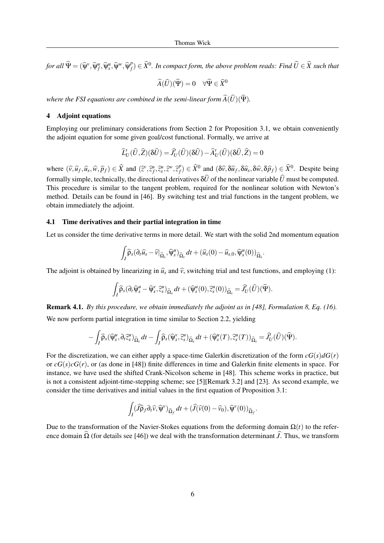*for all*  $\widehat{\Psi} = (\widehat{\Psi}^{\nu}, \widehat{\Psi}_{f}^{\mu}, \widehat{\Psi}_{s}^{\nu}, \widehat{\Psi}^{\nu}, \widehat{\Psi}_{f}^{\rho})$  $\widehat{f}_f^p$ )  $\in$   $\widehat{X}^0.$  *In compact form, the above problem reads: Find*  $\widehat{U}$  $\in$  $\widehat{X}$  *such that* 

$$
\widehat{A}(\widehat{U})(\widehat{\Psi}) = 0 \quad \forall \widehat{\Psi} \in \widehat{X}^0
$$

*where the FSI equations are combined in the semi-linear form*  $\widehat{A}(\widehat{U})(\widehat{Y})$ *.* 

### 4 Adjoint equations

Employing our preliminary considerations from Section 2 for Proposition 3.1, we obtain conveniently the adjoint equation for some given goal/cost functional. Formally, we arrive at

$$
\widehat{L}'_U(\widehat{U},\widehat{Z})(\delta\widehat{U}) = \widehat{J}'_U(\widehat{U})(\delta\widehat{U}) - \widehat{A}'_U(\widehat{U})(\delta\widehat{U},\widehat{Z}) = 0
$$

where  $(\widehat{v}, \widehat{u}_f, \widehat{u}_s, \widehat{w}, \widehat{p}_f) \in \widehat{X}$  and  $(\widehat{z}^v, \widehat{z}^u_f, \widehat{z}^u_s, \widehat{z}^w, \widehat{z}^p_f)$  $f_f^p$   $\in \widehat{X}^0$  and  $(\delta \widehat{v}, \delta \widehat{u}_f, \delta \widehat{u}_s, \delta \widehat{w}, \delta \widehat{p}_f) \in \widehat{X}^0$ . Despite being formally simple, technically, the directional derivatives  $\delta\hat{U}$  of the nonlinear variable  $\hat{U}$  must be computed. This procedure is similar to the tangent problem, required for the nonlinear solution with Newton's method. Details can be found in [46]. By switching test and trial functions in the tangent problem, we obtain immediately the adjoint.

#### 4.1 Time derivatives and their partial integration in time

Let us consider the time derivative terms in more detail. We start with the solid 2nd momentum equation

$$
\int_{I} \widehat{\rho}_s(\partial_t \widehat{u}_s - \widehat{v}|_{\widehat{\Omega}_s}, \widehat{\psi}_s^u)_{\widehat{\Omega}_s} dt + (\widehat{u}_s(0) - \widehat{u}_{s,0}, \widehat{\psi}_s^u(0))_{\widehat{\Omega}_s}.
$$

The adjoint is obtained by linearizing in  $\hat{u}_s$  and  $\hat{v}_s$ , switching trial and test functions, and employing (1):

$$
\int_{I} \widehat{\rho}_{s}(\partial_{t} \widehat{\psi}_{s}^{u} - \widehat{\psi}_{s}^{v}, \widehat{z}_{s}^{u})_{\widehat{\Omega}_{s}} dt + (\widehat{\psi}_{s}^{u}(0), \widehat{z}_{s}^{u}(0))_{\widehat{\Omega}_{s}} = \widehat{J}_{U}^{2}(\widehat{U})(\widehat{\Psi}).
$$

Remark 4.1. *By this procedure, we obtain immediately the adjoint as in [48], Formulation 8, Eq. (16).* We now perform partial integration in time similar to Section 2.2, yielding

$$
-\int_{I}\widehat{\rho}_{s}(\widehat{\psi}^{u}_{s},\partial_{t}\widehat{z}^{u}_{s})_{\widehat{\Omega}_{s}}dt-\int_{I}\widehat{\rho}_{s}(\widehat{\psi}^{v}_{s},\widehat{z}^{u}_{s})_{\widehat{\Omega}_{s}}dt+(\widehat{\psi}^{u}_{s}(T),\widehat{z}^{u}_{s}(T))_{\widehat{\Omega}_{s}}=\widehat{J}'_{U}(\widehat{U})(\widehat{\Psi}).
$$

For the discretization, we can either apply a space-time Galerkin discretization of the form  $cG(s)dG(r)$ or  $cG(s)cG(r)$ , or (as done in [48]) finite differences in time and Galerkin finite elements in space. For instance, we have used the shifted Crank-Nicolson scheme in [48]. This scheme works in practice, but is not a consistent adjoint-time-stepping scheme; see [5][Remark 3.2] and [23]. As second example, we consider the time derivatives and initial values in the first equation of Proposition 3.1:

$$
\int_I (\widehat{J}\widehat{\rho}_f \partial_t \widehat{v}, \widehat{\psi}^{\nu})_{\widehat{\Omega}_f} dt + (\widehat{J}(\widehat{v}(0) - \widehat{v}_0), \widehat{\psi}^{\nu}(0))_{\widehat{\Omega}_f}.
$$

Due to the transformation of the Navier-Stokes equations from the deforming domain  $\Omega(t)$  to the reference domain  $\hat{\Omega}$  (for details see [46]) we deal with the transformation determinant  $\hat{J}$ . Thus, we transform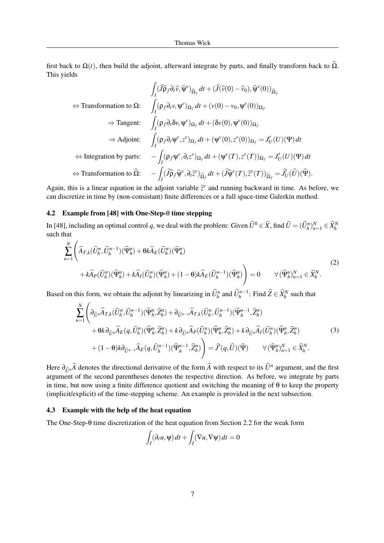first back to  $\Omega(t)$ , then build the adjoint, afterward integrate by parts, and finally transform back to  $\Omega$ . This yields

$$
\int_{I} (\widehat{J}\widehat{\rho}_{f}\partial_{t}\widehat{v}, \widehat{\psi}^{v})_{\widehat{\Omega}_{f}} dt + (\widehat{J}(\widehat{v}(0) - \widehat{v}_{0}), \widehat{\psi}^{v}(0))_{\widehat{\Omega}_{f}}
$$
\n
$$
\Leftrightarrow \text{Transformation to } \Omega: \quad \int_{I} (\rho_{f}\partial_{t}v, \psi^{v})_{\Omega_{f}} dt + (\nu(0) - \nu_{0}, \psi^{v}(0))_{\Omega_{f}}
$$
\n
$$
\Rightarrow \text{Tangent:} \quad \int_{I} (\rho_{f}\partial_{t}\delta v, \psi^{v})_{\Omega_{f}} dt + (\delta v(0), \psi^{v}(0))_{\Omega_{f}}
$$
\n
$$
\Rightarrow \text{Adjoint:} \quad \int_{I} (\rho_{f}\partial_{t}\psi^{v}, z^{v})_{\Omega_{f}} dt + (\psi^{v}(0), z^{v}(0))_{\Omega_{f}} = J'_{U}(U)(\Psi) dt
$$
\n
$$
\Leftrightarrow \text{Integration by parts:} \quad -\int_{I} (\rho_{f}\psi^{v}, \partial_{t}z^{v})_{\Omega_{f}} dt + (\psi^{v}(T), z^{v}(T))_{\Omega_{f}} = J'_{U}(U)(\Psi) dt
$$
\n
$$
\Leftrightarrow \text{Transformation to } \widehat{\Omega}: \quad -\int_{I} (\widehat{J}\widehat{\rho}_{f}\widehat{\psi}^{v}, \partial_{t}\widehat{z}^{v})_{\widehat{\Omega}_{f}} dt + (\widehat{J}\widehat{\psi}^{v}(T), \widehat{z}^{v}(T))_{\widehat{\Omega}_{f}} = \widehat{J'_{U}}(\widehat{U})(\widehat{\Psi}).
$$

Again, this is a linear equation in the adjoint variable  $\hat{z}^{\nu}$  and running backward in time. As before, we<br>can discretize in time by (non-consistent) finite differences or a full space time Galerkin mathed can discretize in time by (non-consistant) finite differences or a full space-time Galerkin method.

#### 4.2 Example from [48] with One-Step-θ time stepping

In [48], including an optimal control *q*, we deal with the problem: Given  $\widehat{U}^0 \in \widehat{X}$ , find  $\widehat{U} = (\widehat{U}_h^n)_{n=1}^N \in \widehat{X}_h^N$ such that

$$
\sum_{n=1}^{N} \left( \widehat{A}_{T,k}(\widehat{U}_h^n, \widehat{U}_h^{n-1})(\widehat{\Psi}_h^n) + \theta k \widehat{A}_E(\widehat{U}_h^n)(\widehat{\Psi}_h^n) + \widehat{A}_I(\widehat{U}_h^n)(\widehat{\Psi}_h^n) + (1 - \theta)k \widehat{A}_E(\widehat{U}_h^{n-1})(\widehat{\Psi}_h^n) \right) = 0 \qquad \forall (\widehat{\Psi}_h^n)_{n=1}^N \in \widehat{X}_h^N.
$$
\n(2)

Based on this form, we obtain the adjoint by linearizing in  $\widehat{U}_h^n$  and  $\widehat{U}_h^{n-1}$ : Find  $\widehat{Z} \in \widehat{X}_h^N$  such that

$$
\sum_{n=1}^{N} \left( \partial_{\widehat{U}^n} \widehat{A}_{T,k} (\widehat{U}_h^n, \widehat{U}_h^{n-1}) (\widehat{\Psi}_h^n, \widehat{Z}_h^n) + \partial_{\widehat{U}^{n-1}} \widehat{A}_{T,k} (\widehat{U}_h^n, \widehat{U}_h^{n-1}) (\widehat{\Psi}_h^{n-1}, \widehat{Z}_h^n) \right. \\
\left. + \theta k \partial_{\widehat{U}^n} \widehat{A}_E(q, \widehat{U}_h^n) (\widehat{\Psi}_h^n, \widehat{Z}_h^n) + k \partial_{\widehat{U}^n} \widehat{A}_P (\widehat{U}_h^n) (\widehat{\Psi}_h^n, \widehat{Z}_h^n) + k \partial_{\widehat{U}^n} \widehat{A}_I (\widehat{U}_h^n) (\widehat{\Psi}_h^n, \widehat{Z}_h^n) \right. \\
\left. + (1 - \theta) k \partial_{\widehat{U}^{n-1}} \widehat{A}_E(q, \widehat{U}_h^{n-1}) (\widehat{\Psi}_h^{n-1}, \widehat{Z}_h^n) \right) = \widehat{J}'(q, \widehat{U}) (\widehat{\Psi}) \qquad \forall (\widehat{\Psi}_h^n)_{n=1}^N \in \widehat{X}_h^N.
$$
\n(3)

Here  $\partial_{\hat{U}^n}\hat{A}$  denotes the directional derivative of the form  $\hat{A}$  with respect to its  $\hat{U}^n$  argument, and the first expansion of the geographic denotes the geographic direction. As hefter, we integrate by argument of the second parentheses denotes the respective direction. As before, we integrate by parts in time, but now using a finite difference quotient and switching the meaning of  $\theta$  to keep the property (implicit/explicit) of the time-stepping scheme. An example is provided in the next subsection.

#### 4.3 Example with the help of the heat equation

The One-Step-θ time discretization of the heat equation from Section 2.2 for the weak form

$$
\int_I (\partial_t u, \Psi) dt + \int_I (\nabla u, \nabla \Psi) dt = 0
$$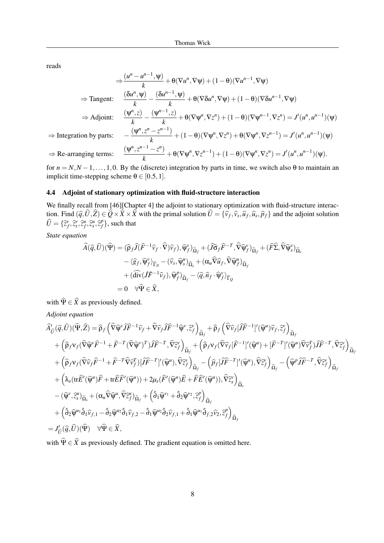reads

$$
\Rightarrow \frac{(u^n - u^{n-1}, \Psi)}{k} + \theta(\nabla u^n, \nabla \Psi) + (1 - \theta)(\nabla u^{n-1}, \nabla \Psi)
$$
\n
$$
\Rightarrow \text{Tangent:} \quad \frac{(\delta u^n, \Psi)}{k} - \frac{(\delta u^{n-1}, \Psi)}{k} + \theta(\nabla \delta u^n, \nabla \Psi) + (1 - \theta)(\nabla \delta u^{n-1}, \nabla \Psi)
$$
\n
$$
\Rightarrow \text{Adjoint:} \quad \frac{(\Psi^n, z)}{k} - \frac{(\Psi^{n-1}, z)}{k} + \theta(\nabla \Psi^n, \nabla z^n) + (1 - \theta)(\nabla \Psi^{n-1}, \nabla z^n) = J'(u^n, u^{n-1})(\Psi)
$$
\n
$$
\Rightarrow \text{Integration by parts:} \quad -\frac{(\Psi^n, z^n - z^{n-1})}{k} + (1 - \theta)(\nabla \Psi^n, \nabla z^n) + \theta(\nabla \Psi^n, \nabla z^{n-1}) = J'(u^n, u^{n-1})(\Psi)
$$
\n
$$
\Rightarrow \text{Re-arranging terms:} \quad \frac{(\Psi^n, z^{n-1} - z^n)}{k} + \theta(\nabla \Psi^n, \nabla z^{n-1}) + (1 - \theta)(\nabla \Psi^n, \nabla z^n) = J'(u^n, u^{n-1})(\Psi).
$$

for  $n = N, N - 1, \ldots, 1, 0$ . By the (discrete) integration by parts in time, we switch also  $\theta$  to maintain an implicit time-stepping scheme  $\theta \in [0.5, 1]$ .

### 4.4 Adjoint of stationary optimization with fluid-structure interaction

We finally recall from [46][Chapter 4] the adjoint to stationary optimization with fluid-structure interaction. Find  $(\hat{q}, U, Z) \in Q \times X \times X$  with the primal solution  $U = {\hat{v}_f, \hat{v}_s, \hat{u}_f, \hat{u}_s, \hat{p}_f}$  and the adjoint solution  $\widehat{U} = {\{\widehat{z}_f^v, \widehat{z}_s^v, \widehat{z}_f^u, \widehat{z}_s^u, \widehat{z}_f^p\}}$  $_{f}^{\rho}$ }, such that

*State equation*

$$
\begin{split}\n\widehat{A}(\widehat{q},\widehat{U})(\widehat{\Psi}) &= (\widehat{\rho}_{f}\widehat{J}(\widehat{F}^{-1}\widehat{v}_{f} \cdot \widehat{\nabla})\widehat{v}_{f}), \widehat{\Psi}_{f}^{\nu})_{\widehat{\Omega}_{f}} + (\widehat{J}\widehat{\sigma}_{f}\widehat{F}^{-T}, \widehat{\nabla}\widehat{\Psi}_{f}^{\nu})_{\widehat{\Omega}_{f}} + (\widehat{F}\widehat{\Sigma}, \widehat{\nabla}\widehat{\Psi}_{s}^{\nu})_{\widehat{\Omega}_{s}} \\
&- \langle \widehat{g}_{f}, \widehat{\Psi}_{f}^{\nu} \rangle_{\widehat{\Gamma}_{N}} - (\widehat{v}_{s}, \widehat{\Psi}_{s}^{\mu})_{\widehat{\Omega}_{s}} + (\alpha_{u}\widehat{\nabla}\widehat{u}_{f}, \widehat{\nabla}\widehat{\Psi}_{f}^{\mu})_{\widehat{\Omega}_{f}} \\
&+ (\widehat{\operatorname{div}}(f\widehat{F}^{-1}\widehat{v}_{f}), \widehat{\Psi}_{f}^{\rho})_{\widehat{\Omega}_{f}} - \langle \widehat{q}, \widehat{n}_{f} \cdot \widehat{\Psi}_{f}^{\nu} \rangle_{\widehat{\Gamma}_{Q}} \\
&= 0 \quad \forall \widehat{\Psi} \in \widehat{X},\n\end{split}
$$

with  $\widehat{\Psi} \in \widehat{X}$  as previously defined.

*Adjoint equation*

$$
\begin{split}\n&\widehat{A}'_{\hat{U}}(\hat{q},\hat{U})(\hat{\Psi},\hat{Z}) &= \widehat{\rho}_{f} \left( \widehat{\nabla}\widehat{\psi}^{\nu}\widehat{J}\widehat{F}^{-1}\widehat{\nu}_{f} + \widehat{\nabla}\widehat{\nu}_{f}\widehat{J}\widehat{F}^{-1}\widehat{\psi}^{\nu},\hat{z}_{f}^{\nu} \right)_{\widehat{\Omega}_{f}} + \widehat{\rho}_{f} \left( \widehat{\nabla}\widehat{\nu}_{f}[\widehat{J}\widehat{F}^{-1}]^{\prime}(\widehat{\psi}^{\mu})\widehat{\nu}_{f},\hat{z}_{f}^{\nu} \right)_{\widehat{\Omega}_{f}} \\
&+ \left( \widehat{\rho}_{f}v_{f}(\widehat{\nabla}\widehat{\psi}^{\nu}\widehat{F}^{-1} + \widehat{F}^{-T}(\widehat{\nabla}\widehat{\psi}^{\nu})^{T})\widehat{J}\widehat{F}^{-T},\widehat{\nabla}z_{f}^{\nu} \right)_{\widehat{\Omega}_{f}} + \left( \widehat{\rho}_{f}v_{f}(\widehat{\nabla}\widehat{\nu}_{f}[\widehat{F}^{-1}]^{\prime}(\widehat{\psi}^{\mu}) + [\widehat{F}^{-T}]^{\prime}(\widehat{\psi}^{\mu})\widehat{\nabla}\widehat{\nu}_{f}^{\tau})\widehat{J}\widehat{F}^{-T},\widehat{\nabla}z_{f}^{\nu} \right)_{\widehat{\Omega}_{f}} \\
&+ \left( \widehat{\rho}_{f}v_{f}(\widehat{\nabla}\widehat{\nu}_{f}\widehat{F}^{-1} + \widehat{F}^{-T}\widehat{\nabla}\widehat{\nu}_{f}^{\tau})[\widehat{J}\widehat{F}^{-T}]^{\prime}(\widehat{\psi}^{\mu}),\widehat{\nabla}z_{f}^{\nu} \right)_{\widehat{\Omega}_{f}} - \left( \widehat{p}_{f}[\widehat{J}\widehat{F}^{-T}]^{\prime}(\widehat{\psi}^{\mu}),\widehat{\nabla}z_{f}^{\nu} \right)_{\widehat{\Omega}_{f}} \\
&+ \left( \lambda_{s}(\text{tr}\widehat{E}^{\prime}(\widehat{\psi}^{\mu})\widehat{F} + \text{tr}\widehat{E}\widehat{F}^{\prime}(\widehat{\psi}^{\mu})) +
$$

with  $\hat{\Psi} \in \hat{X}$  as previously defined. The gradient equation is omitted here.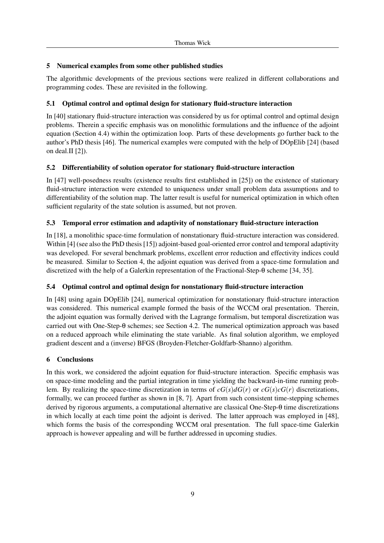# 5 Numerical examples from some other published studies

The algorithmic developments of the previous sections were realized in different collaborations and programming codes. These are revisited in the following.

# 5.1 Optimal control and optimal design for stationary fluid-structure interaction

In [40] stationary fluid-structure interaction was considered by us for optimal control and optimal design problems. Therein a specific emphasis was on monolithic formulations and the influence of the adjoint equation (Section 4.4) within the optimization loop. Parts of these developments go further back to the author's PhD thesis [46]. The numerical examples were computed with the help of DOpElib [24] (based on deal.II [2]).

# 5.2 Differentiability of solution operator for stationary fluid-structure interaction

In [47] well-posedness results (existence results first established in [25]) on the existence of stationary fluid-structure interaction were extended to uniqueness under small problem data assumptions and to differentiability of the solution map. The latter result is useful for numerical optimization in which often sufficient regularity of the state solution is assumed, but not proven.

# 5.3 Temporal error estimation and adaptivity of nonstationary fluid-structure interaction

In [18], a monolithic space-time formulation of nonstationary fluid-structure interaction was considered. Within [4] (see also the PhD thesis [15]) adjoint-based goal-oriented error control and temporal adaptivity was developed. For several benchmark problems, excellent error reduction and effectivity indices could be measured. Similar to Section 4, the adjoint equation was derived from a space-time formulation and discretized with the help of a Galerkin representation of the Fractional-Step-θ scheme [34, 35].

# 5.4 Optimal control and optimal design for nonstationary fluid-structure interaction

In [48] using again DOpElib [24], numerical optimization for nonstationary fluid-structure interaction was considered. This numerical example formed the basis of the WCCM oral presentation. Therein, the adjoint equation was formally derived with the Lagrange formalism, but temporal discretization was carried out with One-Step-θ schemes; see Section 4.2. The numerical optimization approach was based on a reduced approach while eliminating the state variable. As final solution algorithm, we employed gradient descent and a (inverse) BFGS (Broyden-Fletcher-Goldfarb-Shanno) algorithm.

# 6 Conclusions

In this work, we considered the adjoint equation for fluid-structure interaction. Specific emphasis was on space-time modeling and the partial integration in time yielding the backward-in-time running problem. By realizing the space-time discretization in terms of  $cG(s)dG(r)$  or  $cG(s)cG(r)$  discretizations, formally, we can proceed further as shown in [8, 7]. Apart from such consistent time-stepping schemes derived by rigorous arguments, a computational alternative are classical One-Step-θ time discretizations in which locally at each time point the adjoint is derived. The latter approach was employed in [48], which forms the basis of the corresponding WCCM oral presentation. The full space-time Galerkin approach is however appealing and will be further addressed in upcoming studies.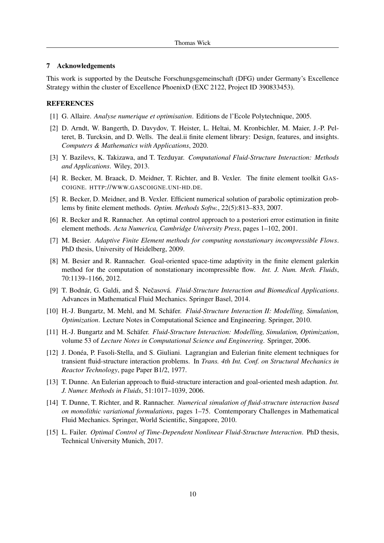#### 7 Acknowledgements

This work is supported by the Deutsche Forschungsgemeinschaft (DFG) under Germany's Excellence Strategy within the cluster of Excellence PhoenixD (EXC 2122, Project ID 390833453).

### **REFERENCES**

- [1] G. Allaire. *Analyse numerique et optimisation*. Editions de l'Ecole Polytechnique, 2005.
- [2] D. Arndt, W. Bangerth, D. Davydov, T. Heister, L. Heltai, M. Kronbichler, M. Maier, J.-P. Pelteret, B. Turcksin, and D. Wells. The deal.ii finite element library: Design, features, and insights. *Computers & Mathematics with Applications*, 2020.
- [3] Y. Bazilevs, K. Takizawa, and T. Tezduyar. *Computational Fluid-Structure Interaction: Methods and Applications*. Wiley, 2013.
- [4] R. Becker, M. Braack, D. Meidner, T. Richter, and B. Vexler. The finite element toolkit GAS-COIGNE. HTTP://WWW.GASCOIGNE.UNI-HD.DE.
- [5] R. Becker, D. Meidner, and B. Vexler. Efficient numerical solution of parabolic optimization problems by finite element methods. *Optim. Methods Softw.*, 22(5):813–833, 2007.
- [6] R. Becker and R. Rannacher. An optimal control approach to a posteriori error estimation in finite element methods. *Acta Numerica, Cambridge University Press*, pages 1–102, 2001.
- [7] M. Besier. *Adaptive Finite Element methods for computing nonstationary incompressible Flows*. PhD thesis, University of Heidelberg, 2009.
- [8] M. Besier and R. Rannacher. Goal-oriented space-time adaptivity in the finite element galerkin method for the computation of nonstationary incompressible flow. *Int. J. Num. Meth. Fluids*, 70:1139–1166, 2012.
- [9] T. Bodnár, G. Galdi, and Š. Nečasová. *Fluid-Structure Interaction and Biomedical Applications*. Advances in Mathematical Fluid Mechanics. Springer Basel, 2014.
- [10] H.-J. Bungartz, M. Mehl, and M. Schäfer. *Fluid-Structure Interaction II: Modelling, Simulation*, *Optimization*. Lecture Notes in Computational Science and Engineering. Springer, 2010.
- [11] H.-J. Bungartz and M. Schäfer. *Fluid-Structure Interaction: Modelling, Simulation, Optimization,* volume 53 of *Lecture Notes in Computational Science and Engineering*. Springer, 2006.
- [12] J. Donea, P. Fasoli-Stella, and S. Giuliani. Lagrangian and Eulerian finite element techniques for ´ transient fluid-structure interaction problems. In *Trans. 4th Int. Conf. on Structural Mechanics in Reactor Technology*, page Paper B1/2, 1977.
- [13] T. Dunne. An Eulerian approach to fluid-structure interaction and goal-oriented mesh adaption. *Int. J. Numer. Methods in Fluids*, 51:1017–1039, 2006.
- [14] T. Dunne, T. Richter, and R. Rannacher. *Numerical simulation of fluid-structure interaction based on monolithic variational formulations*, pages 1–75. Comtemporary Challenges in Mathematical Fluid Mechanics. Springer, World Scientific, Singapore, 2010.
- [15] L. Failer. *Optimal Control of Time-Dependent Nonlinear Fluid-Structure Interaction*. PhD thesis, Technical University Munich, 2017.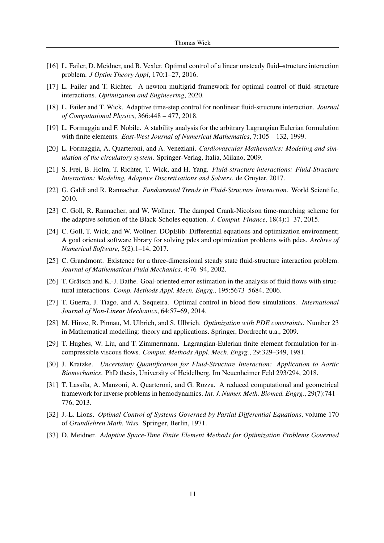- [16] L. Failer, D. Meidner, and B. Vexler. Optimal control of a linear unsteady fluid–structure interaction problem. *J Optim Theory Appl*, 170:1–27, 2016.
- [17] L. Failer and T. Richter. A newton multigrid framework for optimal control of fluid–structure interactions. *Optimization and Engineering*, 2020.
- [18] L. Failer and T. Wick. Adaptive time-step control for nonlinear fluid-structure interaction. *Journal of Computational Physics*, 366:448 – 477, 2018.
- [19] L. Formaggia and F. Nobile. A stability analysis for the arbitrary Lagrangian Eulerian formulation with finite elements. *East-West Journal of Numerical Mathematics*, 7:105 – 132, 1999.
- [20] L. Formaggia, A. Quarteroni, and A. Veneziani. *Cardiovascular Mathematics: Modeling and simulation of the circulatory system*. Springer-Verlag, Italia, Milano, 2009.
- [21] S. Frei, B. Holm, T. Richter, T. Wick, and H. Yang. *Fluid-structure interactions: Fluid-Structure Interaction: Modeling, Adaptive Discretisations and Solvers*. de Gruyter, 2017.
- [22] G. Galdi and R. Rannacher. *Fundamental Trends in Fluid-Structure Interaction*. World Scientific, 2010.
- [23] C. Goll, R. Rannacher, and W. Wollner. The damped Crank-Nicolson time-marching scheme for the adaptive solution of the Black-Scholes equation. *J. Comput. Finance*, 18(4):1–37, 2015.
- [24] C. Goll, T. Wick, and W. Wollner. DOpElib: Differential equations and optimization environment; A goal oriented software library for solving pdes and optimization problems with pdes. *Archive of Numerical Software*, 5(2):1–14, 2017.
- [25] C. Grandmont. Existence for a three-dimensional steady state fluid-structure interaction problem. *Journal of Mathematical Fluid Mechanics*, 4:76–94, 2002.
- [26] T. Grätsch and K.-J. Bathe. Goal-oriented error estimation in the analysis of fluid flows with structural interactions. *Comp. Methods Appl. Mech. Engrg.*, 195:5673–5684, 2006.
- [27] T. Guerra, J. Tiago, and A. Sequeira. Optimal control in blood flow simulations. *International Journal of Non-Linear Mechanics*, 64:57–69, 2014.
- [28] M. Hinze, R. Pinnau, M. Ulbrich, and S. Ulbrich. *Optimization with PDE constraints*. Number 23 in Mathematical modelling: theory and applications. Springer, Dordrecht u.a., 2009.
- [29] T. Hughes, W. Liu, and T. Zimmermann. Lagrangian-Eulerian finite element formulation for incompressible viscous flows. *Comput. Methods Appl. Mech. Engrg.*, 29:329–349, 1981.
- [30] J. Kratzke. *Uncertainty Quantification for Fluid-Structure Interaction: Application to Aortic Biomechanics*. PhD thesis, University of Heidelberg, Im Neuenheimer Feld 293/294, 2018.
- [31] T. Lassila, A. Manzoni, A. Quarteroni, and G. Rozza. A reduced computational and geometrical framework for inverse problems in hemodynamics. *Int. J. Numer. Meth. Biomed. Engrg.*, 29(7):741– 776, 2013.
- [32] J.-L. Lions. *Optimal Control of Systems Governed by Partial Differential Equations*, volume 170 of *Grundlehren Math. Wiss.* Springer, Berlin, 1971.
- [33] D. Meidner. *Adaptive Space-Time Finite Element Methods for Optimization Problems Governed*